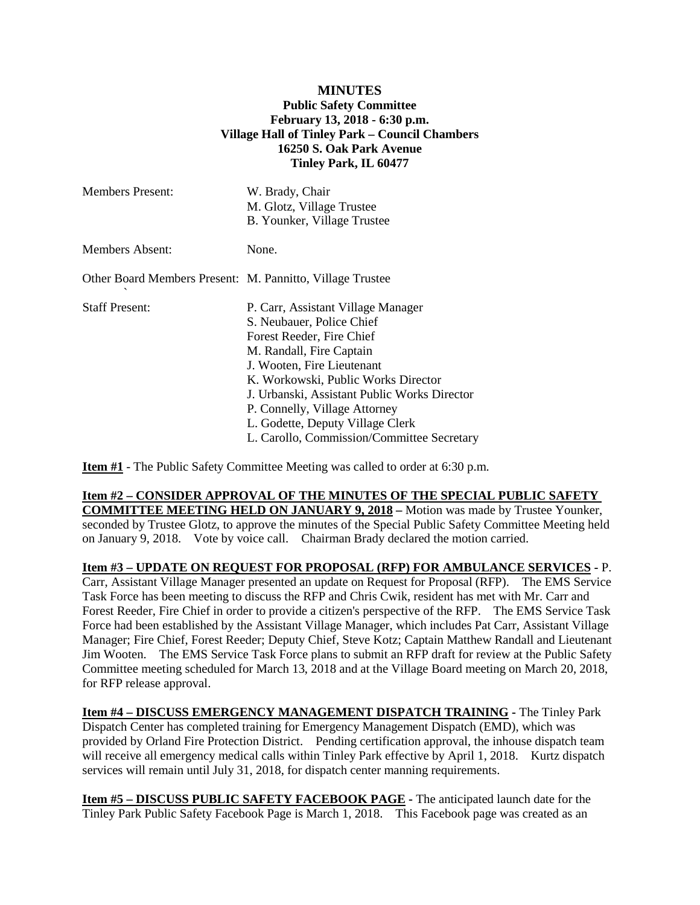## **MINUTES Public Safety Committee February 13, 2018 - 6:30 p.m. Village Hall of Tinley Park – Council Chambers 16250 S. Oak Park Avenue Tinley Park, IL 60477**

| <b>Members Present:</b>                                   | W. Brady, Chair<br>M. Glotz, Village Trustee<br>B. Younker, Village Trustee                                                                                                                                                                                                                                                                                      |
|-----------------------------------------------------------|------------------------------------------------------------------------------------------------------------------------------------------------------------------------------------------------------------------------------------------------------------------------------------------------------------------------------------------------------------------|
| <b>Members Absent:</b>                                    | None.                                                                                                                                                                                                                                                                                                                                                            |
| Other Board Members Present: M. Pannitto, Village Trustee |                                                                                                                                                                                                                                                                                                                                                                  |
| <b>Staff Present:</b>                                     | P. Carr, Assistant Village Manager<br>S. Neubauer, Police Chief<br>Forest Reeder, Fire Chief<br>M. Randall, Fire Captain<br>J. Wooten, Fire Lieutenant<br>K. Workowski, Public Works Director<br>J. Urbanski, Assistant Public Works Director<br>P. Connelly, Village Attorney<br>L. Godette, Deputy Village Clerk<br>L. Carollo, Commission/Committee Secretary |

**Item #1** - The Public Safety Committee Meeting was called to order at 6:30 p.m.

## **Item #2 – CONSIDER APPROVAL OF THE MINUTES OF THE SPECIAL PUBLIC SAFETY**

**COMMITTEE MEETING HELD ON JANUARY 9, 2018 –** Motion was made by Trustee Younker, seconded by Trustee Glotz, to approve the minutes of the Special Public Safety Committee Meeting held on January 9, 2018. Vote by voice call. Chairman Brady declared the motion carried.

**Item #3 – UPDATE ON REQUEST FOR PROPOSAL (RFP) FOR AMBULANCE SERVICES -** P. Carr, Assistant Village Manager presented an update on Request for Proposal (RFP). The EMS Service Task Force has been meeting to discuss the RFP and Chris Cwik, resident has met with Mr. Carr and Forest Reeder, Fire Chief in order to provide a citizen's perspective of the RFP. The EMS Service Task Force had been established by the Assistant Village Manager, which includes Pat Carr, Assistant Village Manager; Fire Chief, Forest Reeder; Deputy Chief, Steve Kotz; Captain Matthew Randall and Lieutenant Jim Wooten. The EMS Service Task Force plans to submit an RFP draft for review at the Public Safety Committee meeting scheduled for March 13, 2018 and at the Village Board meeting on March 20, 2018, for RFP release approval.

**Item #4 – DISCUSS EMERGENCY MANAGEMENT DISPATCH TRAINING -** The Tinley Park Dispatch Center has completed training for Emergency Management Dispatch (EMD), which was provided by Orland Fire Protection District. Pending certification approval, the inhouse dispatch team will receive all emergency medical calls within Tinley Park effective by April 1, 2018. Kurtz dispatch services will remain until July 31, 2018, for dispatch center manning requirements.

**Item #5 – DISCUSS PUBLIC SAFETY FACEBOOK PAGE -** The anticipated launch date for the Tinley Park Public Safety Facebook Page is March 1, 2018. This Facebook page was created as an